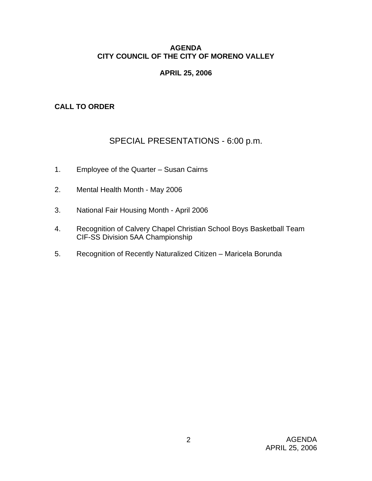# **AGENDA CITY COUNCIL OF THE CITY OF MORENO VALLEY**

# **APRIL 25, 2006**

# **CALL TO ORDER**

# SPECIAL PRESENTATIONS - 6:00 p.m.

- 1. Employee of the Quarter Susan Cairns
- 2. Mental Health Month May 2006
- 3. National Fair Housing Month April 2006
- 4. Recognition of Calvery Chapel Christian School Boys Basketball Team CIF-SS Division 5AA Championship
- 5. Recognition of Recently Naturalized Citizen Maricela Borunda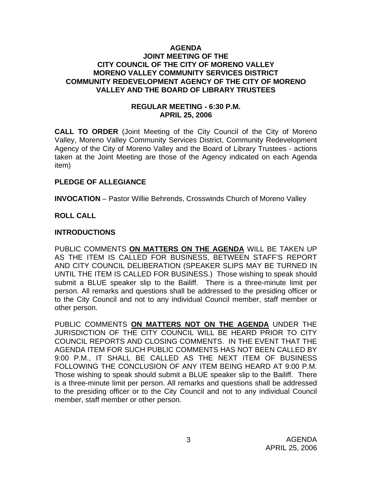### **AGENDA JOINT MEETING OF THE CITY COUNCIL OF THE CITY OF MORENO VALLEY MORENO VALLEY COMMUNITY SERVICES DISTRICT COMMUNITY REDEVELOPMENT AGENCY OF THE CITY OF MORENO VALLEY AND THE BOARD OF LIBRARY TRUSTEES**

# **REGULAR MEETING - 6:30 P.M. APRIL 25, 2006**

**CALL TO ORDER** (Joint Meeting of the City Council of the City of Moreno Valley, Moreno Valley Community Services District, Community Redevelopment Agency of the City of Moreno Valley and the Board of Library Trustees - actions taken at the Joint Meeting are those of the Agency indicated on each Agenda item)

# **PLEDGE OF ALLEGIANCE**

**INVOCATION** – Pastor Willie Behrends, Crosswinds Church of Moreno Valley

# **ROLL CALL**

### **INTRODUCTIONS**

PUBLIC COMMENTS **ON MATTERS ON THE AGENDA** WILL BE TAKEN UP AS THE ITEM IS CALLED FOR BUSINESS, BETWEEN STAFF'S REPORT AND CITY COUNCIL DELIBERATION (SPEAKER SLIPS MAY BE TURNED IN UNTIL THE ITEM IS CALLED FOR BUSINESS.) Those wishing to speak should submit a BLUE speaker slip to the Bailiff. There is a three-minute limit per person. All remarks and questions shall be addressed to the presiding officer or to the City Council and not to any individual Council member, staff member or other person.

PUBLIC COMMENTS **ON MATTERS NOT ON THE AGENDA** UNDER THE JURISDICTION OF THE CITY COUNCIL WILL BE HEARD PRIOR TO CITY COUNCIL REPORTS AND CLOSING COMMENTS. IN THE EVENT THAT THE AGENDA ITEM FOR SUCH PUBLIC COMMENTS HAS NOT BEEN CALLED BY 9:00 P.M., IT SHALL BE CALLED AS THE NEXT ITEM OF BUSINESS FOLLOWING THE CONCLUSION OF ANY ITEM BEING HEARD AT 9:00 P.M. Those wishing to speak should submit a BLUE speaker slip to the Bailiff. There is a three-minute limit per person. All remarks and questions shall be addressed to the presiding officer or to the City Council and not to any individual Council member, staff member or other person.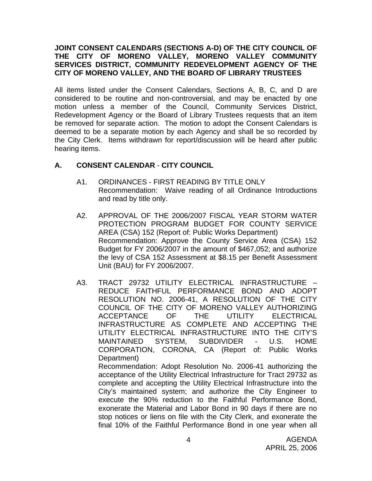# **JOINT CONSENT CALENDARS (SECTIONS A-D) OF THE CITY COUNCIL OF THE CITY OF MORENO VALLEY, MORENO VALLEY COMMUNITY SERVICES DISTRICT, COMMUNITY REDEVELOPMENT AGENCY OF THE CITY OF MORENO VALLEY, AND THE BOARD OF LIBRARY TRUSTEES**

All items listed under the Consent Calendars, Sections A, B, C, and D are considered to be routine and non-controversial, and may be enacted by one motion unless a member of the Council, Community Services District, Redevelopment Agency or the Board of Library Trustees requests that an item be removed for separate action. The motion to adopt the Consent Calendars is deemed to be a separate motion by each Agency and shall be so recorded by the City Clerk. Items withdrawn for report/discussion will be heard after public hearing items.

# **A. CONSENT CALENDAR** - **CITY COUNCIL**

- A1. ORDINANCES FIRST READING BY TITLE ONLY Recommendation: Waive reading of all Ordinance Introductions and read by title only.
- A2. APPROVAL OF THE 2006/2007 FISCAL YEAR STORM WATER PROTECTION PROGRAM BUDGET FOR COUNTY SERVICE AREA (CSA) 152 (Report of: Public Works Department) Recommendation: Approve the County Service Area (CSA) 152 Budget for FY 2006/2007 in the amount of \$467,052; and authorize the levy of CSA 152 Assessment at \$8.15 per Benefit Assessment Unit (BAU) for FY 2006/2007.
- A3. TRACT 29732 UTILITY ELECTRICAL INFRASTRUCTURE REDUCE FAITHFUL PERFORMANCE BOND AND ADOPT RESOLUTION NO. 2006-41, A RESOLUTION OF THE CITY COUNCIL OF THE CITY OF MORENO VALLEY AUTHORIZING ACCEPTANCE OF THE UTILITY ELECTRICAL INFRASTRUCTURE AS COMPLETE AND ACCEPTING THE UTILITY ELECTRICAL INFRASTRUCTURE INTO THE CITY'S MAINTAINED SYSTEM, SUBDIVIDER - U.S. HOME CORPORATION, CORONA, CA (Report of: Public Works Department) Recommendation: Adopt Resolution No. 2006-41 authorizing the acceptance of the Utility Electrical Infrastructure for Tract 29732 as complete and accepting the Utility Electrical Infrastructure into the City's maintained system; and authorize the City Engineer to execute the 90% reduction to the Faithful Performance Bond,

exonerate the Material and Labor Bond in 90 days if there are no stop notices or liens on file with the City Clerk, and exonerate the

AGENDA APRIL 25, 2006 final 10% of the Faithful Performance Bond in one year when all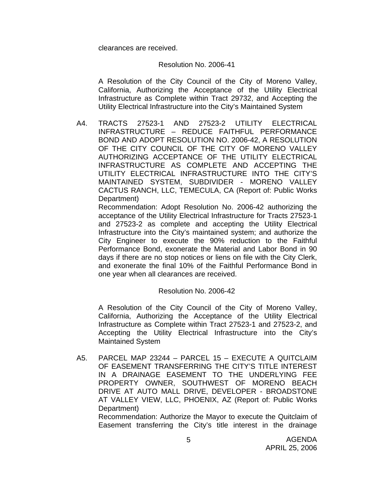clearances are received.

# Resolution No. 2006-41

 A Resolution of the City Council of the City of Moreno Valley, California, Authorizing the Acceptance of the Utility Electrical Infrastructure as Complete within Tract 29732, and Accepting the Utility Electrical Infrastructure into the City's Maintained System

A4. TRACTS 27523-1 AND 27523-2 UTILITY ELECTRICAL INFRASTRUCTURE – REDUCE FAITHFUL PERFORMANCE BOND AND ADOPT RESOLUTION NO. 2006-42, A RESOLUTION OF THE CITY COUNCIL OF THE CITY OF MORENO VALLEY AUTHORIZING ACCEPTANCE OF THE UTILITY ELECTRICAL INFRASTRUCTURE AS COMPLETE AND ACCEPTING THE UTILITY ELECTRICAL INFRASTRUCTURE INTO THE CITY'S MAINTAINED SYSTEM, SUBDIVIDER - MORENO VALLEY CACTUS RANCH, LLC, TEMECULA, CA (Report of: Public Works Department)

 Recommendation: Adopt Resolution No. 2006-42 authorizing the acceptance of the Utility Electrical Infrastructure for Tracts 27523-1 and 27523-2 as complete and accepting the Utility Electrical Infrastructure into the City's maintained system; and authorize the City Engineer to execute the 90% reduction to the Faithful Performance Bond, exonerate the Material and Labor Bond in 90 days if there are no stop notices or liens on file with the City Clerk, and exonerate the final 10% of the Faithful Performance Bond in one year when all clearances are received.

# Resolution No. 2006-42

 A Resolution of the City Council of the City of Moreno Valley, California, Authorizing the Acceptance of the Utility Electrical Infrastructure as Complete within Tract 27523-1 and 27523-2, and Accepting the Utility Electrical Infrastructure into the City's Maintained System

A5. PARCEL MAP 23244 – PARCEL 15 – EXECUTE A QUITCLAIM OF EASEMENT TRANSFERRING THE CITY'S TITLE INTEREST IN A DRAINAGE EASEMENT TO THE UNDERLYING FEE PROPERTY OWNER, SOUTHWEST OF MORENO BEACH DRIVE AT AUTO MALL DRIVE, DEVELOPER - BROADSTONE AT VALLEY VIEW, LLC, PHOENIX, AZ (Report of: Public Works Department)

 Recommendation: Authorize the Mayor to execute the Quitclaim of Easement transferring the City's title interest in the drainage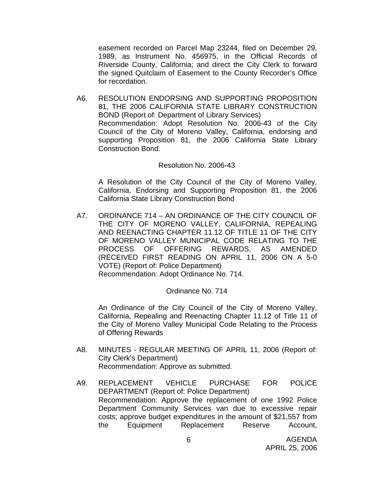easement recorded on Parcel Map 23244, filed on December 29, 1989, as Instrument No. 456975, in the Official Records of Riverside County, California; and direct the City Clerk to forward the signed Quitclaim of Easement to the County Recorder's Office for recordation.

A6. RESOLUTION ENDORSING AND SUPPORTING PROPOSITION 81, THE 2006 CALIFORNIA STATE LIBRARY CONSTRUCTION BOND (Report of: Department of Library Services) Recommendation: Adopt Resolution No. 2006-43 of the City Council of the City of Moreno Valley, California, endorsing and supporting Proposition 81, the 2006 California State Library Construction Bond.

#### Resolution No. 2006-43

 A Resolution of the City Council of the City of Moreno Valley, California, Endorsing and Supporting Proposition 81, the 2006 California State Library Construction Bond

A7. ORDINANCE 714 – AN ORDINANCE OF THE CITY COUNCIL OF THE CITY OF MORENO VALLEY, CALIFORNIA, REPEALING AND REENACTING CHAPTER 11.12 OF TITLE 11 OF THE CITY OF MORENO VALLEY MUNICIPAL CODE RELATING TO THE PROCESS OF OFFERING REWARDS, AS AMENDED (RECEIVED FIRST READING ON APRIL 11, 2006 ON A 5-0 VOTE) (Report of: Police Department) Recommendation: Adopt Ordinance No. 714.

Ordinance No. 714

An Ordinance of the City Council of the City of Moreno Valley, California, Repealing and Reenacting Chapter 11.12 of Title 11 of the City of Moreno Valley Municipal Code Relating to the Process of Offering Rewards

- A8. MINUTES REGULAR MEETING OF APRIL 11, 2006 (Report of: City Clerk's Department) Recommendation: Approve as submitted.
- A9. REPLACEMENT VEHICLE PURCHASE FOR POLICE DEPARTMENT (Report of: Police Department) Recommendation: Approve the replacement of one 1992 Police Department Community Services van due to excessive repair costs; approve budget expenditures in the amount of \$21,557 from the Equipment Replacement Reserve Account,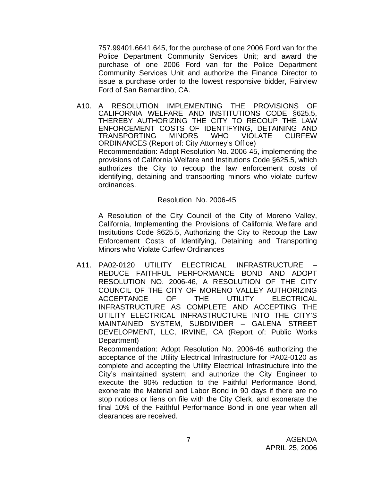757.99401.6641.645, for the purchase of one 2006 Ford van for the Police Department Community Services Unit; and award the purchase of one 2006 Ford van for the Police Department Community Services Unit and authorize the Finance Director to issue a purchase order to the lowest responsive bidder, Fairview Ford of San Bernardino, CA.

A10. A RESOLUTION IMPLEMENTING THE PROVISIONS OF CALIFORNIA WELFARE AND INSTITUTIONS CODE §625.5, THEREBY AUTHORIZING THE CITY TO RECOUP THE LAW ENFORCEMENT COSTS OF IDENTIFYING, DETAINING AND<br>TRANSPORTING MINORS WHO VIOLATE CURFEW TRANSPORTING MINORS WHO VIOLATE CURFEW ORDINANCES (Report of: City Attorney's Office) Recommendation: Adopt Resolution No. 2006-45, implementing the provisions of California Welfare and Institutions Code §625.5, which authorizes the City to recoup the law enforcement costs of identifying, detaining and transporting minors who violate curfew ordinances.

Resolution No. 2006-45

A Resolution of the City Council of the City of Moreno Valley, California, Implementing the Provisions of California Welfare and Institutions Code §625.5, Authorizing the City to Recoup the Law Enforcement Costs of Identifying, Detaining and Transporting Minors who Violate Curfew Ordinances

A11. PA02-0120 UTILITY ELECTRICAL INFRASTRUCTURE – REDUCE FAITHFUL PERFORMANCE BOND AND ADOPT RESOLUTION NO. 2006-46, A RESOLUTION OF THE CITY COUNCIL OF THE CITY OF MORENO VALLEY AUTHORIZING ACCEPTANCE OF THE UTILITY ELECTRICAL INFRASTRUCTURE AS COMPLETE AND ACCEPTING THE UTILITY ELECTRICAL INFRASTRUCTURE INTO THE CITY'S MAINTAINED SYSTEM, SUBDIVIDER – GALENA STREET DEVELOPMENT, LLC, IRVINE, CA (Report of: Public Works Department)

 Recommendation: Adopt Resolution No. 2006-46 authorizing the acceptance of the Utility Electrical Infrastructure for PA02-0120 as complete and accepting the Utility Electrical Infrastructure into the City's maintained system; and authorize the City Engineer to execute the 90% reduction to the Faithful Performance Bond, exonerate the Material and Labor Bond in 90 days if there are no stop notices or liens on file with the City Clerk, and exonerate the final 10% of the Faithful Performance Bond in one year when all clearances are received.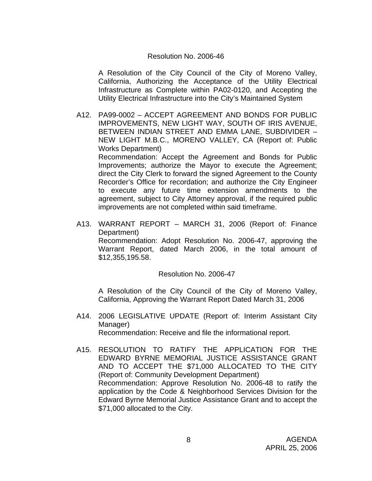### Resolution No. 2006-46

A Resolution of the City Council of the City of Moreno Valley, California, Authorizing the Acceptance of the Utility Electrical Infrastructure as Complete within PA02-0120, and Accepting the Utility Electrical Infrastructure into the City's Maintained System

A12. PA99-0002 – ACCEPT AGREEMENT AND BONDS FOR PUBLIC IMPROVEMENTS, NEW LIGHT WAY, SOUTH OF IRIS AVENUE, BETWEEN INDIAN STREET AND EMMA LANE, SUBDIVIDER – NEW LIGHT M.B.C., MORENO VALLEY, CA (Report of: Public Works Department)

 Recommendation: Accept the Agreement and Bonds for Public Improvements; authorize the Mayor to execute the Agreement; direct the City Clerk to forward the signed Agreement to the County Recorder's Office for recordation; and authorize the City Engineer to execute any future time extension amendments to the agreement, subject to City Attorney approval, if the required public improvements are not completed within said timeframe.

A13. WARRANT REPORT – MARCH 31, 2006 (Report of: Finance Department)

 Recommendation: Adopt Resolution No. 2006-47, approving the Warrant Report, dated March 2006, in the total amount of \$12,355,195.58.

#### Resolution No. 2006-47

A Resolution of the City Council of the City of Moreno Valley, California, Approving the Warrant Report Dated March 31, 2006

- A14. 2006 LEGISLATIVE UPDATE (Report of: Interim Assistant City Manager) Recommendation: Receive and file the informational report.
- A15. RESOLUTION TO RATIFY THE APPLICATION FOR THE EDWARD BYRNE MEMORIAL JUSTICE ASSISTANCE GRANT AND TO ACCEPT THE \$71,000 ALLOCATED TO THE CITY (Report of: Community Development Department) Recommendation: Approve Resolution No. 2006-48 to ratify the application by the Code & Neighborhood Services Division for the Edward Byrne Memorial Justice Assistance Grant and to accept the \$71,000 allocated to the City.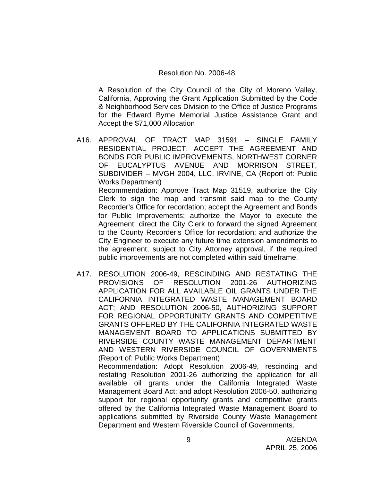#### Resolution No. 2006-48

A Resolution of the City Council of the City of Moreno Valley, California, Approving the Grant Application Submitted by the Code & Neighborhood Services Division to the Office of Justice Programs for the Edward Byrne Memorial Justice Assistance Grant and Accept the \$71,000 Allocation

A16. APPROVAL OF TRACT MAP 31591 – SINGLE FAMILY RESIDENTIAL PROJECT, ACCEPT THE AGREEMENT AND BONDS FOR PUBLIC IMPROVEMENTS, NORTHWEST CORNER OF EUCALYPTUS AVENUE AND MORRISON STREET, SUBDIVIDER – MVGH 2004, LLC, IRVINE, CA (Report of: Public Works Department) Recommendation: Approve Tract Map 31519, authorize the City Clerk to sign the map and transmit said map to the County Recorder's Office for recordation; accept the Agreement and Bonds for Public Improvements; authorize the Mayor to execute the Agreement; direct the City Clerk to forward the signed Agreement to the County Recorder's Office for recordation; and authorize the

City Engineer to execute any future time extension amendments to the agreement, subject to City Attorney approval, if the required public improvements are not completed within said timeframe.

A17. RESOLUTION 2006-49, RESCINDING AND RESTATING THE PROVISIONS OF RESOLUTION 2001-26 AUTHORIZING APPLICATION FOR ALL AVAILABLE OIL GRANTS UNDER THE CALIFORNIA INTEGRATED WASTE MANAGEMENT BOARD ACT; AND RESOLUTION 2006-50, AUTHORIZING SUPPORT FOR REGIONAL OPPORTUNITY GRANTS AND COMPETITIVE GRANTS OFFERED BY THE CALIFORNIA INTEGRATED WASTE MANAGEMENT BOARD TO APPLICATIONS SUBMITTED BY RIVERSIDE COUNTY WASTE MANAGEMENT DEPARTMENT AND WESTERN RIVERSIDE COUNCIL OF GOVERNMENTS (Report of: Public Works Department)

 Recommendation: Adopt Resolution 2006-49, rescinding and restating Resolution 2001-26 authorizing the application for all available oil grants under the California Integrated Waste Management Board Act; and adopt Resolution 2006-50, authorizing support for regional opportunity grants and competitive grants offered by the California Integrated Waste Management Board to applications submitted by Riverside County Waste Management Department and Western Riverside Council of Governments.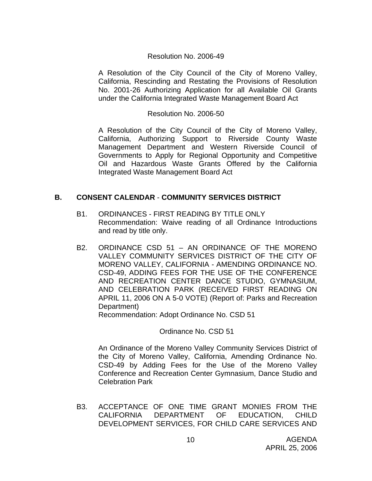# Resolution No. 2006-49

A Resolution of the City Council of the City of Moreno Valley, California, Rescinding and Restating the Provisions of Resolution No. 2001-26 Authorizing Application for all Available Oil Grants under the California Integrated Waste Management Board Act

#### Resolution No. 2006-50

A Resolution of the City Council of the City of Moreno Valley, California, Authorizing Support to Riverside County Waste Management Department and Western Riverside Council of Governments to Apply for Regional Opportunity and Competitive Oil and Hazardous Waste Grants Offered by the California Integrated Waste Management Board Act

# **B. CONSENT CALENDAR** - **COMMUNITY SERVICES DISTRICT**

- B1. ORDINANCES FIRST READING BY TITLE ONLY Recommendation: Waive reading of all Ordinance Introductions and read by title only.
- B2. ORDINANCE CSD 51 AN ORDINANCE OF THE MORENO VALLEY COMMUNITY SERVICES DISTRICT OF THE CITY OF MORENO VALLEY, CALIFORNIA - AMENDING ORDINANCE NO. CSD-49, ADDING FEES FOR THE USE OF THE CONFERENCE AND RECREATION CENTER DANCE STUDIO, GYMNASIUM, AND CELEBRATION PARK (RECEIVED FIRST READING ON APRIL 11, 2006 ON A 5-0 VOTE) (Report of: Parks and Recreation Department)

Recommendation: Adopt Ordinance No. CSD 51

Ordinance No. CSD 51

 An Ordinance of the Moreno Valley Community Services District of the City of Moreno Valley, California, Amending Ordinance No. CSD-49 by Adding Fees for the Use of the Moreno Valley Conference and Recreation Center Gymnasium, Dance Studio and Celebration Park

B3. ACCEPTANCE OF ONE TIME GRANT MONIES FROM THE CALIFORNIA DEPARTMENT OF EDUCATION, CHILD DEVELOPMENT SERVICES, FOR CHILD CARE SERVICES AND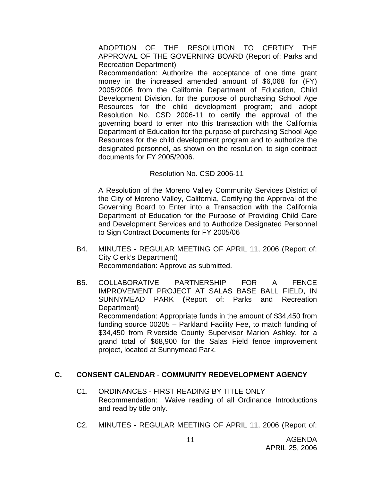ADOPTION OF THE RESOLUTION TO CERTIFY THE APPROVAL OF THE GOVERNING BOARD (Report of: Parks and Recreation Department)

 Recommendation: Authorize the acceptance of one time grant money in the increased amended amount of \$6,068 for (FY) 2005/2006 from the California Department of Education, Child Development Division, for the purpose of purchasing School Age Resources for the child development program; and adopt Resolution No. CSD 2006-11 to certify the approval of the governing board to enter into this transaction with the California Department of Education for the purpose of purchasing School Age Resources for the child development program and to authorize the designated personnel, as shown on the resolution, to sign contract documents for FY 2005/2006.

### Resolution No. CSD 2006-11

 A Resolution of the Moreno Valley Community Services District of the City of Moreno Valley, California, Certifying the Approval of the Governing Board to Enter into a Transaction with the California Department of Education for the Purpose of Providing Child Care and Development Services and to Authorize Designated Personnel to Sign Contract Documents for FY 2005/06

- B4. MINUTES REGULAR MEETING OF APRIL 11, 2006 (Report of: City Clerk's Department) Recommendation: Approve as submitted.
- B5. COLLABORATIVE PARTNERSHIP FOR A FENCE IMPROVEMENT PROJECT AT SALAS BASE BALL FIELD, IN SUNNYMEAD PARK **(**Report of: Parks and Recreation Department) Recommendation: Appropriate funds in the amount of \$34,450 from funding source 00205 – Parkland Facility Fee, to match funding of \$34,450 from Riverside County Supervisor Marion Ashley, for a grand total of \$68,900 for the Salas Field fence improvement project, located at Sunnymead Park.

# **C. CONSENT CALENDAR** - **COMMUNITY REDEVELOPMENT AGENCY**

- C1. ORDINANCES FIRST READING BY TITLE ONLY Recommendation: Waive reading of all Ordinance Introductions and read by title only.
- C2. MINUTES REGULAR MEETING OF APRIL 11, 2006 (Report of: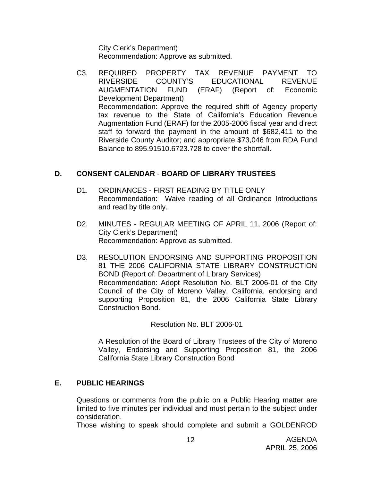City Clerk's Department) Recommendation: Approve as submitted.

C3. REQUIRED PROPERTY TAX REVENUE PAYMENT TO RIVERSIDE COUNTY'S EDUCATIONAL REVENUE AUGMENTATION FUND (ERAF) (Report of: Economic Development Department) Recommendation: Approve the required shift of Agency property tax revenue to the State of California's Education Revenue Augmentation Fund (ERAF) for the 2005-2006 fiscal year and direct staff to forward the payment in the amount of \$682,411 to the Riverside County Auditor; and appropriate \$73,046 from RDA Fund Balance to 895.91510.6723.728 to cover the shortfall.

# **D. CONSENT CALENDAR** - **BOARD OF LIBRARY TRUSTEES**

- D1. ORDINANCES FIRST READING BY TITLE ONLY Recommendation: Waive reading of all Ordinance Introductions and read by title only.
- D2. MINUTES REGULAR MEETING OF APRIL 11, 2006 (Report of: City Clerk's Department) Recommendation: Approve as submitted.
- D3. RESOLUTION ENDORSING AND SUPPORTING PROPOSITION 81 THE 2006 CALIFORNIA STATE LIBRARY CONSTRUCTION BOND (Report of: Department of Library Services) Recommendation: Adopt Resolution No. BLT 2006-01 of the City Council of the City of Moreno Valley, California, endorsing and supporting Proposition 81, the 2006 California State Library Construction Bond.

Resolution No. BLT 2006-01

A Resolution of the Board of Library Trustees of the City of Moreno Valley, Endorsing and Supporting Proposition 81, the 2006 California State Library Construction Bond

# **E. PUBLIC HEARINGS**

Questions or comments from the public on a Public Hearing matter are limited to five minutes per individual and must pertain to the subject under consideration.

Those wishing to speak should complete and submit a GOLDENROD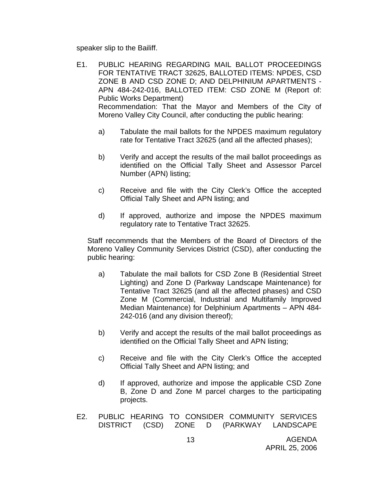speaker slip to the Bailiff.

- E1. PUBLIC HEARING REGARDING MAIL BALLOT PROCEEDINGS FOR TENTATIVE TRACT 32625, BALLOTED ITEMS: NPDES, CSD ZONE B AND CSD ZONE D; AND DELPHINIUM APARTMENTS - APN 484-242-016, BALLOTED ITEM: CSD ZONE M (Report of: Public Works Department) Recommendation: That the Mayor and Members of the City of Moreno Valley City Council, after conducting the public hearing:
	- a) Tabulate the mail ballots for the NPDES maximum regulatory rate for Tentative Tract 32625 (and all the affected phases);
	- b) Verify and accept the results of the mail ballot proceedings as identified on the Official Tally Sheet and Assessor Parcel Number (APN) listing;
	- c) Receive and file with the City Clerk's Office the accepted Official Tally Sheet and APN listing; and
	- d) If approved, authorize and impose the NPDES maximum regulatory rate to Tentative Tract 32625.

Staff recommends that the Members of the Board of Directors of the Moreno Valley Community Services District (CSD), after conducting the public hearing:

- a) Tabulate the mail ballots for CSD Zone B (Residential Street Lighting) and Zone D (Parkway Landscape Maintenance) for Tentative Tract 32625 (and all the affected phases) and CSD Zone M (Commercial, Industrial and Multifamily Improved Median Maintenance) for Delphinium Apartments – APN 484- 242-016 (and any division thereof);
- b) Verify and accept the results of the mail ballot proceedings as identified on the Official Tally Sheet and APN listing;
- c) Receive and file with the City Clerk's Office the accepted Official Tally Sheet and APN listing; and
- d) If approved, authorize and impose the applicable CSD Zone B, Zone D and Zone M parcel charges to the participating projects.
- E2. PUBLIC HEARING TO CONSIDER COMMUNITY SERVICES DISTRICT (CSD) ZONE D (PARKWAY LANDSCAPE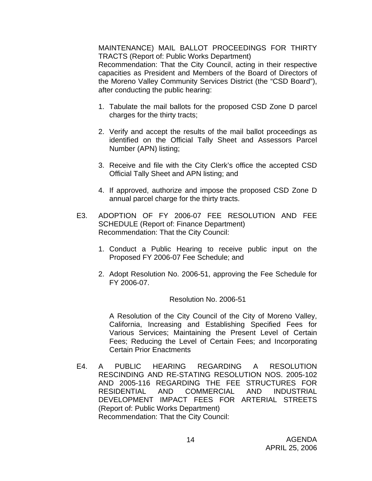MAINTENANCE) MAIL BALLOT PROCEEDINGS FOR THIRTY TRACTS (Report of: Public Works Department)

 Recommendation: That the City Council, acting in their respective capacities as President and Members of the Board of Directors of the Moreno Valley Community Services District (the "CSD Board"), after conducting the public hearing:

- 1. Tabulate the mail ballots for the proposed CSD Zone D parcel charges for the thirty tracts;
- 2. Verify and accept the results of the mail ballot proceedings as identified on the Official Tally Sheet and Assessors Parcel Number (APN) listing;
- 3. Receive and file with the City Clerk's office the accepted CSD Official Tally Sheet and APN listing; and
- 4. If approved, authorize and impose the proposed CSD Zone D annual parcel charge for the thirty tracts.
- E3. ADOPTION OF FY 2006-07 FEE RESOLUTION AND FEE SCHEDULE (Report of: Finance Department) Recommendation: That the City Council:
	- 1. Conduct a Public Hearing to receive public input on the Proposed FY 2006-07 Fee Schedule; and
	- 2. Adopt Resolution No. 2006-51, approving the Fee Schedule for FY 2006-07.

#### Resolution No. 2006-51

 A Resolution of the City Council of the City of Moreno Valley, California, Increasing and Establishing Specified Fees for Various Services; Maintaining the Present Level of Certain Fees; Reducing the Level of Certain Fees; and Incorporating Certain Prior Enactments

E4. A PUBLIC HEARING REGARDING A RESOLUTION RESCINDING AND RE-STATING RESOLUTION NOS. 2005-102 AND 2005-116 REGARDING THE FEE STRUCTURES FOR RESIDENTIAL AND COMMERCIAL AND INDUSTRIAL DEVELOPMENT IMPACT FEES FOR ARTERIAL STREETS (Report of: Public Works Department) Recommendation: That the City Council: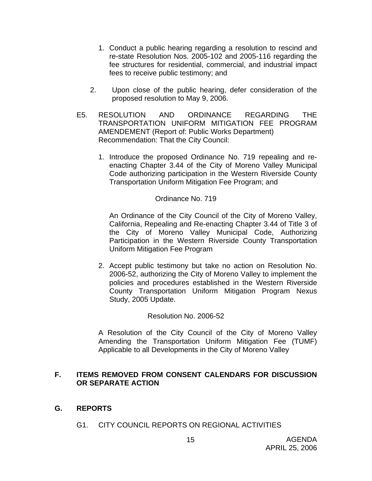- 1. Conduct a public hearing regarding a resolution to rescind and re-state Resolution Nos. 2005-102 and 2005-116 regarding the fee structures for residential, commercial, and industrial impact fees to receive public testimony; and
- 2. Upon close of the public hearing, defer consideration of the proposed resolution to May 9, 2006.
- E5. RESOLUTION AND ORDINANCE REGARDING THE TRANSPORTATION UNIFORM MITIGATION FEE PROGRAM AMENDEMENT (Report of: Public Works Department) Recommendation: That the City Council:
	- 1. Introduce the proposed Ordinance No. 719 repealing and reenacting Chapter 3.44 of the City of Moreno Valley Municipal Code authorizing participation in the Western Riverside County Transportation Uniform Mitigation Fee Program; and

# Ordinance No. 719

An Ordinance of the City Council of the City of Moreno Valley, California, Repealing and Re-enacting Chapter 3.44 of Title 3 of the City of Moreno Valley Municipal Code, Authorizing Participation in the Western Riverside County Transportation Uniform Mitigation Fee Program

2. Accept public testimony but take no action on Resolution No. 2006-52, authorizing the City of Moreno Valley to implement the policies and procedures established in the Western Riverside County Transportation Uniform Mitigation Program Nexus Study, 2005 Update.

#### Resolution No. 2006-52

A Resolution of the City Council of the City of Moreno Valley Amending the Transportation Uniform Mitigation Fee (TUMF) Applicable to all Developments in the City of Moreno Valley

# **F. ITEMS REMOVED FROM CONSENT CALENDARS FOR DISCUSSION OR SEPARATE ACTION**

- **G. REPORTS** 
	- G1. CITY COUNCIL REPORTS ON REGIONAL ACTIVITIES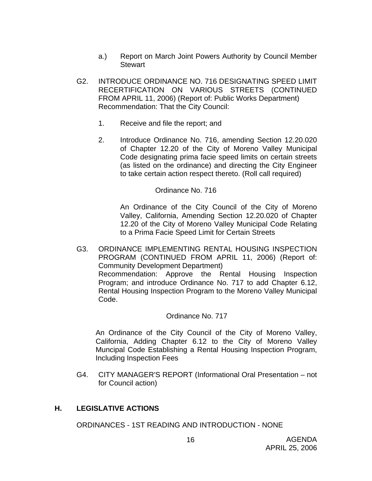- a.) Report on March Joint Powers Authority by Council Member Stewart
- G2. INTRODUCE ORDINANCE NO. 716 DESIGNATING SPEED LIMIT RECERTIFICATION ON VARIOUS STREETS (CONTINUED FROM APRIL 11, 2006) (Report of: Public Works Department) Recommendation: That the City Council:
	- 1. Receive and file the report; and
	- 2. Introduce Ordinance No. 716, amending Section 12.20.020 of Chapter 12.20 of the City of Moreno Valley Municipal Code designating prima facie speed limits on certain streets (as listed on the ordinance) and directing the City Engineer to take certain action respect thereto. (Roll call required)

# Ordinance No. 716

An Ordinance of the City Council of the City of Moreno Valley, California, Amending Section 12.20.020 of Chapter 12.20 of the City of Moreno Valley Municipal Code Relating to a Prima Facie Speed Limit for Certain Streets

G3. ORDINANCE IMPLEMENTING RENTAL HOUSING INSPECTION PROGRAM (CONTINUED FROM APRIL 11, 2006) (Report of: Community Development Department) Recommendation: Approve the Rental Housing Inspection Program; and introduce Ordinance No. 717 to add Chapter 6.12, Rental Housing Inspection Program to the Moreno Valley Municipal Code.

#### Ordinance No. 717

An Ordinance of the City Council of the City of Moreno Valley, California, Adding Chapter 6.12 to the City of Moreno Valley Muncipal Code Establishing a Rental Housing Inspection Program, Including Inspection Fees

G4. CITY MANAGER'S REPORT (Informational Oral Presentation – not for Council action)

# **H. LEGISLATIVE ACTIONS**

ORDINANCES - 1ST READING AND INTRODUCTION - NONE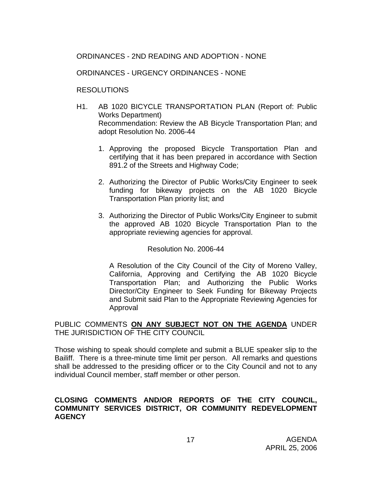# ORDINANCES - 2ND READING AND ADOPTION - NONE

### ORDINANCES - URGENCY ORDINANCES - NONE

### RESOLUTIONS

- H1. AB 1020 BICYCLE TRANSPORTATION PLAN (Report of: Public Works Department) Recommendation: Review the AB Bicycle Transportation Plan; and adopt Resolution No. 2006-44
	- 1. Approving the proposed Bicycle Transportation Plan and certifying that it has been prepared in accordance with Section 891.2 of the Streets and Highway Code;
	- 2. Authorizing the Director of Public Works/City Engineer to seek funding for bikeway projects on the AB 1020 Bicycle Transportation Plan priority list; and
	- 3. Authorizing the Director of Public Works/City Engineer to submit the approved AB 1020 Bicycle Transportation Plan to the appropriate reviewing agencies for approval.

Resolution No. 2006-44

A Resolution of the City Council of the City of Moreno Valley, California, Approving and Certifying the AB 1020 Bicycle Transportation Plan; and Authorizing the Public Works Director/City Engineer to Seek Funding for Bikeway Projects and Submit said Plan to the Appropriate Reviewing Agencies for Approval

### PUBLIC COMMENTS **ON ANY SUBJECT NOT ON THE AGENDA** UNDER THE JURISDICTION OF THE CITY COUNCIL

Those wishing to speak should complete and submit a BLUE speaker slip to the Bailiff. There is a three-minute time limit per person. All remarks and questions shall be addressed to the presiding officer or to the City Council and not to any individual Council member, staff member or other person.

### **CLOSING COMMENTS AND/OR REPORTS OF THE CITY COUNCIL, COMMUNITY SERVICES DISTRICT, OR COMMUNITY REDEVELOPMENT AGENCY**